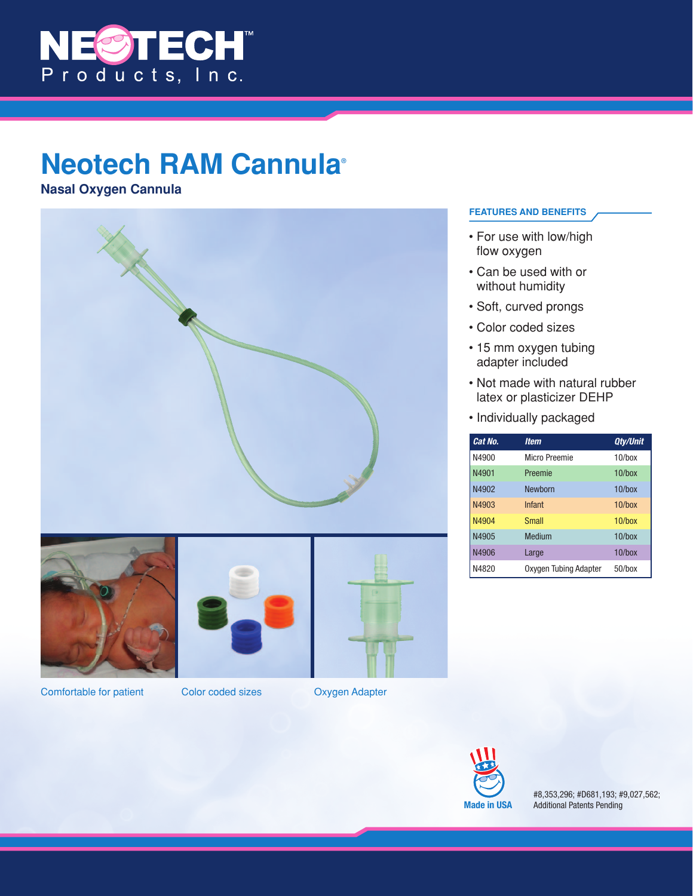

## **Neotech RAM Cannula®**

**Nasal Oxygen Cannula** 



## **FEATURES AND BENEFITS**

- For use with low/high flow oxygen
- Can be used with or without humidity
- Soft, curved prongs
- Color coded sizes
- 15 mm oxygen tubing adapter included
- Not made with natural rubber latex or plasticizer DEHP
- Individually packaged

| Cat No. | <b>Item</b>           | <b>Qty/Unit</b> |
|---------|-----------------------|-----------------|
| N4900   | Micro Preemie         | $10$ /box       |
| N4901   | Preemie               | $10$ /box       |
| N4902   | Newborn               | $10$ /box       |
| N4903   | Infant                | $10$ /box       |
| N4904   | <b>Small</b>          | $10$ /box       |
| N4905   | Medium                | $10/h$ ox       |
| N4906   | Large                 | $10$ /box       |
| N4820   | Oxygen Tubing Adapter | $50$ /box       |



#8,353,296; #D681,193; #9,027,562; Additional Patents Pending